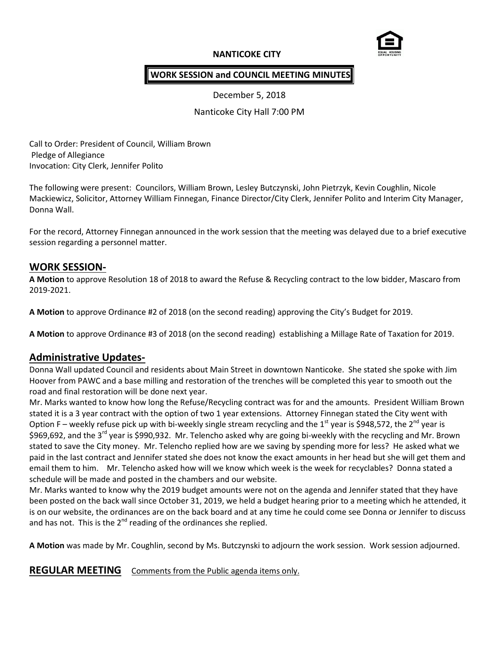## **NANTICOKE CITY**



### **WORK SESSION and COUNCIL MEETING MINUTES**

December 5, 2018

Nanticoke City Hall 7:00 PM

Call to Order: President of Council, William Brown Pledge of Allegiance Invocation: City Clerk, Jennifer Polito

The following were present: Councilors, William Brown, Lesley Butczynski, John Pietrzyk, Kevin Coughlin, Nicole Mackiewicz, Solicitor, Attorney William Finnegan, Finance Director/City Clerk, Jennifer Polito and Interim City Manager, Donna Wall.

For the record, Attorney Finnegan announced in the work session that the meeting was delayed due to a brief executive session regarding a personnel matter.

#### **WORK SESSION-**

**A Motion** to approve Resolution 18 of 2018 to award the Refuse & Recycling contract to the low bidder, Mascaro from 2019-2021.

**A Motion** to approve Ordinance #2 of 2018 (on the second reading) approving the City's Budget for 2019.

**A Motion** to approve Ordinance #3 of 2018 (on the second reading) establishing a Millage Rate of Taxation for 2019.

# **Administrative Updates-**

Donna Wall updated Council and residents about Main Street in downtown Nanticoke. She stated she spoke with Jim Hoover from PAWC and a base milling and restoration of the trenches will be completed this year to smooth out the road and final restoration will be done next year.

Mr. Marks wanted to know how long the Refuse/Recycling contract was for and the amounts. President William Brown stated it is a 3 year contract with the option of two 1 year extensions. Attorney Finnegan stated the City went with Option F – weekly refuse pick up with bi-weekly single stream recycling and the 1<sup>st</sup> year is \$948,572, the 2<sup>nd</sup> year is \$969,692, and the 3<sup>rd</sup> year is \$990,932. Mr. Telencho asked why are going bi-weekly with the recycling and Mr. Brown stated to save the City money. Mr. Telencho replied how are we saving by spending more for less? He asked what we paid in the last contract and Jennifer stated she does not know the exact amounts in her head but she will get them and email them to him. Mr. Telencho asked how will we know which week is the week for recyclables? Donna stated a schedule will be made and posted in the chambers and our website.

Mr. Marks wanted to know why the 2019 budget amounts were not on the agenda and Jennifer stated that they have been posted on the back wall since October 31, 2019, we held a budget hearing prior to a meeting which he attended, it is on our website, the ordinances are on the back board and at any time he could come see Donna or Jennifer to discuss and has not. This is the  $2^{nd}$  reading of the ordinances she replied.

**A Motion** was made by Mr. Coughlin, second by Ms. Butczynski to adjourn the work session. Work session adjourned.

**REGULAR MEETING** Comments from the Public agenda items only.